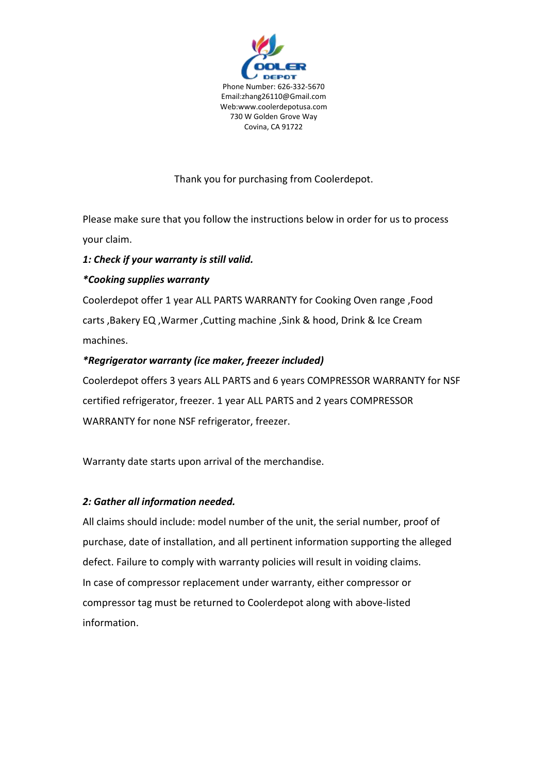

# Thank you for purchasing from Coolerdepot.

Please make sure that you follow the instructions below in order for us to process your claim.

### *1: Check if your warranty is still valid.*

# *\*Cooking supplies warranty*

Coolerdepot offer 1 year ALL PARTS WARRANTY for Cooking Oven range ,Food carts ,Bakery EQ ,Warmer ,Cutting machine ,Sink & hood, Drink & Ice Cream machines.

### *\*Regrigerator warranty (ice maker, freezer included)*

Coolerdepot offers 3 years ALL PARTS and 6 years COMPRESSOR WARRANTY for NSF certified refrigerator, freezer. 1 year ALL PARTS and 2 years COMPRESSOR WARRANTY for none NSF refrigerator, freezer.

Warranty date starts upon arrival of the merchandise.

### *2: Gather all information needed.*

All claims should include: model number of the unit, the serial number, proof of purchase, date of installation, and all pertinent information supporting the alleged defect. Failure to comply with warranty policies will result in voiding claims. In case of compressor replacement under warranty, either compressor or compressor tag must be returned to Coolerdepot along with above-listed information.